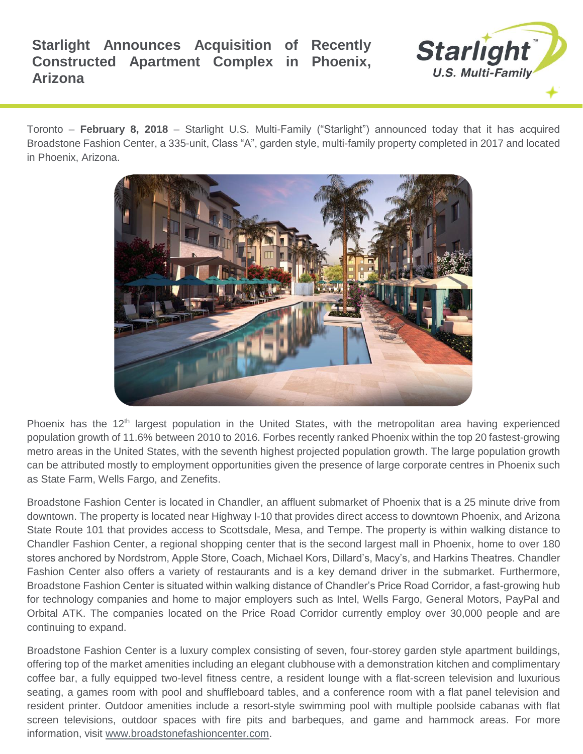

Toronto – **February 8, 2018** – Starlight U.S. Multi-Family ("Starlight") announced today that it has acquired Broadstone Fashion Center, a 335-unit, Class "A", garden style, multi-family property completed in 2017 and located in Phoenix, Arizona.



Phoenix has the 12<sup>th</sup> largest population in the United States, with the metropolitan area having experienced population growth of 11.6% between 2010 to 2016. Forbes recently ranked Phoenix within the top 20 fastest-growing metro areas in the United States, with the seventh highest projected population growth. The large population growth can be attributed mostly to employment opportunities given the presence of large corporate centres in Phoenix such as State Farm, Wells Fargo, and Zenefits.

Broadstone Fashion Center is located in Chandler, an affluent submarket of Phoenix that is a 25 minute drive from downtown. The property is located near Highway I-10 that provides direct access to downtown Phoenix, and Arizona State Route 101 that provides access to Scottsdale, Mesa, and Tempe. The property is within walking distance to Chandler Fashion Center, a regional shopping center that is the second largest mall in Phoenix, home to over 180 stores anchored by Nordstrom, Apple Store, Coach, Michael Kors, Dillard's, Macy's, and Harkins Theatres. Chandler Fashion Center also offers a variety of restaurants and is a key demand driver in the submarket. Furthermore, Broadstone Fashion Center is situated within walking distance of Chandler's Price Road Corridor, a fast-growing hub for technology companies and home to major employers such as Intel, Wells Fargo, General Motors, PayPal and Orbital ATK. The companies located on the Price Road Corridor currently employ over 30,000 people and are continuing to expand.

Broadstone Fashion Center is a luxury complex consisting of seven, four-storey garden style apartment buildings, offering top of the market amenities including an elegant clubhouse with a demonstration kitchen and complimentary coffee bar, a fully equipped two-level fitness centre, a resident lounge with a flat-screen television and luxurious seating, a games room with pool and shuffleboard tables, and a conference room with a flat panel television and resident printer. Outdoor amenities include a resort-style swimming pool with multiple poolside cabanas with flat screen televisions, outdoor spaces with fire pits and barbeques, and game and hammock areas. For more information, visit [www.broadstonefashioncenter.com.](http://www.broadstonefashioncenter.com/)